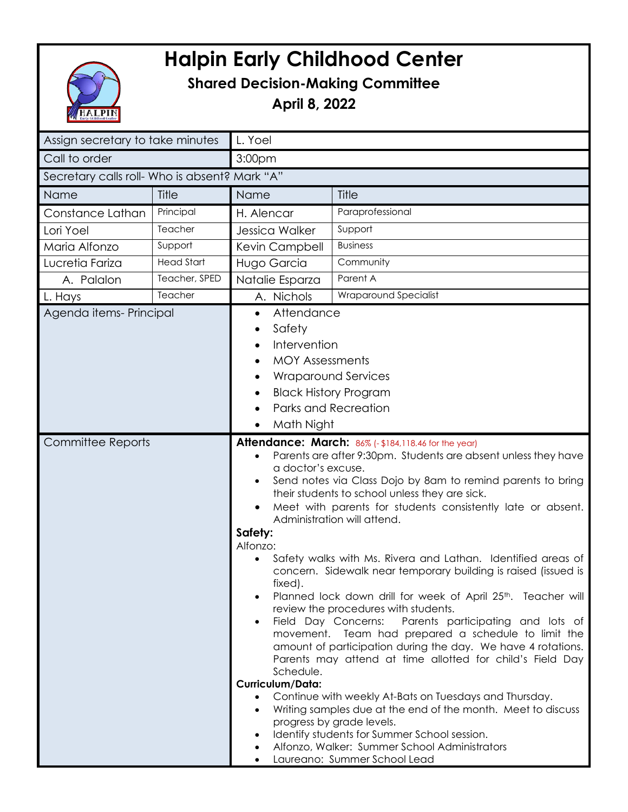## **Halpin Early Childhood Center**



## **Shared Decision-Making Committee**

**April 8, 2022**

| Assign secretary to take minutes              |                   | L. Yoel                                                                                                                                                                                                                                                                                                                                                                                                                                                                                                                                                                                                                                                                                                                                                                                                                                                                                                                                                                                                                                                                                                                                                   |                                                                                                                                                                                                                                                                                      |
|-----------------------------------------------|-------------------|-----------------------------------------------------------------------------------------------------------------------------------------------------------------------------------------------------------------------------------------------------------------------------------------------------------------------------------------------------------------------------------------------------------------------------------------------------------------------------------------------------------------------------------------------------------------------------------------------------------------------------------------------------------------------------------------------------------------------------------------------------------------------------------------------------------------------------------------------------------------------------------------------------------------------------------------------------------------------------------------------------------------------------------------------------------------------------------------------------------------------------------------------------------|--------------------------------------------------------------------------------------------------------------------------------------------------------------------------------------------------------------------------------------------------------------------------------------|
| Call to order                                 |                   | 3:00pm                                                                                                                                                                                                                                                                                                                                                                                                                                                                                                                                                                                                                                                                                                                                                                                                                                                                                                                                                                                                                                                                                                                                                    |                                                                                                                                                                                                                                                                                      |
| Secretary calls roll- Who is absent? Mark "A" |                   |                                                                                                                                                                                                                                                                                                                                                                                                                                                                                                                                                                                                                                                                                                                                                                                                                                                                                                                                                                                                                                                                                                                                                           |                                                                                                                                                                                                                                                                                      |
|                                               |                   |                                                                                                                                                                                                                                                                                                                                                                                                                                                                                                                                                                                                                                                                                                                                                                                                                                                                                                                                                                                                                                                                                                                                                           |                                                                                                                                                                                                                                                                                      |
| Name                                          | Title             | Name                                                                                                                                                                                                                                                                                                                                                                                                                                                                                                                                                                                                                                                                                                                                                                                                                                                                                                                                                                                                                                                                                                                                                      | Title                                                                                                                                                                                                                                                                                |
| Constance Lathan                              | Principal         | H. Alencar                                                                                                                                                                                                                                                                                                                                                                                                                                                                                                                                                                                                                                                                                                                                                                                                                                                                                                                                                                                                                                                                                                                                                | Paraprofessional                                                                                                                                                                                                                                                                     |
| Lori Yoel                                     | Teacher           | Jessica Walker                                                                                                                                                                                                                                                                                                                                                                                                                                                                                                                                                                                                                                                                                                                                                                                                                                                                                                                                                                                                                                                                                                                                            | Support                                                                                                                                                                                                                                                                              |
| Maria Alfonzo                                 | Support           | Kevin Campbell                                                                                                                                                                                                                                                                                                                                                                                                                                                                                                                                                                                                                                                                                                                                                                                                                                                                                                                                                                                                                                                                                                                                            | <b>Business</b>                                                                                                                                                                                                                                                                      |
| Lucretia Fariza                               | <b>Head Start</b> | Hugo Garcia                                                                                                                                                                                                                                                                                                                                                                                                                                                                                                                                                                                                                                                                                                                                                                                                                                                                                                                                                                                                                                                                                                                                               | Community                                                                                                                                                                                                                                                                            |
| A. Palalon                                    | Teacher, SPED     | Natalie Esparza                                                                                                                                                                                                                                                                                                                                                                                                                                                                                                                                                                                                                                                                                                                                                                                                                                                                                                                                                                                                                                                                                                                                           | Parent A                                                                                                                                                                                                                                                                             |
| L. Hays                                       | Teacher           | A. Nichols                                                                                                                                                                                                                                                                                                                                                                                                                                                                                                                                                                                                                                                                                                                                                                                                                                                                                                                                                                                                                                                                                                                                                | Wraparound Specialist                                                                                                                                                                                                                                                                |
| Agenda items-Principal<br>Committee Reports   |                   | Attendance<br>$\bullet$<br>Safety<br>$\bullet$<br>Intervention<br><b>MOY Assessments</b><br><b>Wraparound Services</b><br><b>Black History Program</b><br><b>Parks and Recreation</b><br>Math Night<br>$\bullet$<br><b>Attendance: March: 86% (- \$184,118.46 for the year)</b><br>Parents are after 9:30pm. Students are absent unless they have<br>a doctor's excuse.<br>Send notes via Class Dojo by 8am to remind parents to bring<br>their students to school unless they are sick.<br>Meet with parents for students consistently late or absent.<br>Administration will attend.<br>Safety:<br>Alfonzo:<br>Safety walks with Ms. Rivera and Lathan. Identified areas of<br>concern. Sidewalk near temporary building is raised (issued is<br>fixed).<br>Planned lock down drill for week of April 25 <sup>th</sup> . Teacher will<br>$\bullet$<br>review the procedures with students.<br>Parents participating and lots of<br>Field Day Concerns:<br>$\bullet$<br>movement. Team had prepared a schedule to limit the<br>amount of participation during the day. We have 4 rotations.<br>Parents may attend at time allotted for child's Field Day |                                                                                                                                                                                                                                                                                      |
|                                               |                   | Schedule.<br>Curriculum/Data:<br>$\bullet$<br>$\bullet$<br>$\bullet$                                                                                                                                                                                                                                                                                                                                                                                                                                                                                                                                                                                                                                                                                                                                                                                                                                                                                                                                                                                                                                                                                      | Continue with weekly At-Bats on Tuesdays and Thursday.<br>Writing samples due at the end of the month. Meet to discuss<br>progress by grade levels.<br>Identify students for Summer School session.<br>Alfonzo, Walker: Summer School Administrators<br>Laureano: Summer School Lead |